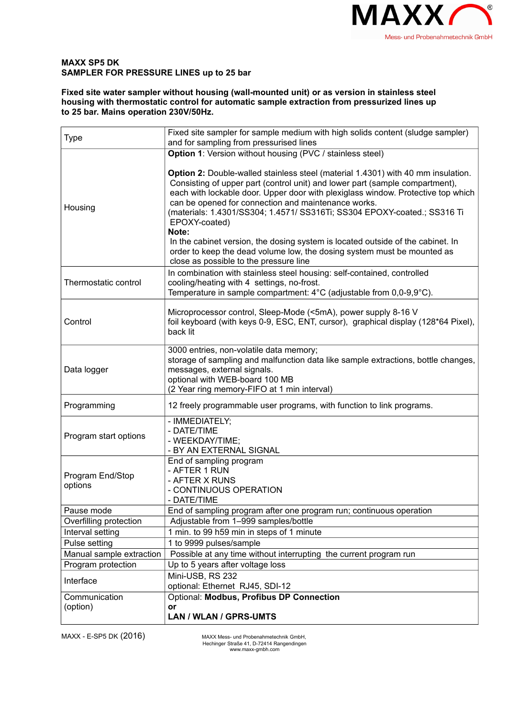

## **MAXX SP5 DK SAMPLER FOR PRESSURE LINES up to 25 bar**

**Fixed site water sampler without housing (wall-mounted unit) or as version in stainless steel housing with thermostatic control for automatic sample extraction from pressurized lines up to 25 bar. Mains operation 230V/50Hz.**

| <b>Type</b>                 | Fixed site sampler for sample medium with high solids content (sludge sampler)<br>and for sampling from pressurised lines                                                                                                                                                                                                                                                                                                                                                                                                                                                                                                 |  |  |
|-----------------------------|---------------------------------------------------------------------------------------------------------------------------------------------------------------------------------------------------------------------------------------------------------------------------------------------------------------------------------------------------------------------------------------------------------------------------------------------------------------------------------------------------------------------------------------------------------------------------------------------------------------------------|--|--|
|                             | <b>Option 1:</b> Version without housing (PVC / stainless steel)                                                                                                                                                                                                                                                                                                                                                                                                                                                                                                                                                          |  |  |
| Housing                     | Option 2: Double-walled stainless steel (material 1.4301) with 40 mm insulation.<br>Consisting of upper part (control unit) and lower part (sample compartment),<br>each with lockable door. Upper door with plexiglass window. Protective top which<br>can be opened for connection and maintenance works.<br>(materials: 1.4301/SS304; 1.4571/ SS316Ti; SS304 EPOXY-coated.; SS316 Ti<br>EPOXY-coated)<br>Note:<br>In the cabinet version, the dosing system is located outside of the cabinet. In<br>order to keep the dead volume low, the dosing system must be mounted as<br>close as possible to the pressure line |  |  |
| Thermostatic control        | In combination with stainless steel housing: self-contained, controlled<br>cooling/heating with 4 settings, no-frost.<br>Temperature in sample compartment: 4°C (adjustable from 0,0-9,9°C).                                                                                                                                                                                                                                                                                                                                                                                                                              |  |  |
| Control                     | Microprocessor control, Sleep-Mode (<5mA), power supply 8-16 V<br>foil keyboard (with keys 0-9, ESC, ENT, cursor), graphical display (128*64 Pixel),<br>back lit                                                                                                                                                                                                                                                                                                                                                                                                                                                          |  |  |
| Data logger                 | 3000 entries, non-volatile data memory;<br>storage of sampling and malfunction data like sample extractions, bottle changes,<br>messages, external signals.<br>optional with WEB-board 100 MB<br>(2 Year ring memory-FIFO at 1 min interval)                                                                                                                                                                                                                                                                                                                                                                              |  |  |
| Programming                 | 12 freely programmable user programs, with function to link programs.                                                                                                                                                                                                                                                                                                                                                                                                                                                                                                                                                     |  |  |
| Program start options       | - IMMEDIATELY;<br>- DATE/TIME<br>- WEEKDAY/TIME;<br>- BY AN EXTERNAL SIGNAL                                                                                                                                                                                                                                                                                                                                                                                                                                                                                                                                               |  |  |
| Program End/Stop<br>options | End of sampling program<br>- AFTER 1 RUN<br>- AFTER X RUNS<br>- CONTINUOUS OPERATION<br>- DATE/TIME                                                                                                                                                                                                                                                                                                                                                                                                                                                                                                                       |  |  |
| Pause mode                  | End of sampling program after one program run; continuous operation                                                                                                                                                                                                                                                                                                                                                                                                                                                                                                                                                       |  |  |
| Overfilling protection      | Adjustable from 1-999 samples/bottle                                                                                                                                                                                                                                                                                                                                                                                                                                                                                                                                                                                      |  |  |
| Interval setting            | 1 min. to 99 h59 min in steps of 1 minute                                                                                                                                                                                                                                                                                                                                                                                                                                                                                                                                                                                 |  |  |
| Pulse setting               | 1 to 9999 pulses/sample                                                                                                                                                                                                                                                                                                                                                                                                                                                                                                                                                                                                   |  |  |
| Manual sample extraction    | Possible at any time without interrupting the current program run                                                                                                                                                                                                                                                                                                                                                                                                                                                                                                                                                         |  |  |
| Program protection          | Up to 5 years after voltage loss                                                                                                                                                                                                                                                                                                                                                                                                                                                                                                                                                                                          |  |  |
| Interface                   | Mini-USB, RS 232<br>optional: Ethernet RJ45, SDI-12                                                                                                                                                                                                                                                                                                                                                                                                                                                                                                                                                                       |  |  |
| Communication<br>(option)   | Optional: Modbus, Profibus DP Connection<br><b>or</b><br>LAN / WLAN / GPRS-UMTS                                                                                                                                                                                                                                                                                                                                                                                                                                                                                                                                           |  |  |

MAXX - E-SP5 DK (2016) MAXX Mess- und Probenahmetechnik GmbH,

Hechinger Straße 41, D-72414 Rangendingen www.maxx-gmbh.com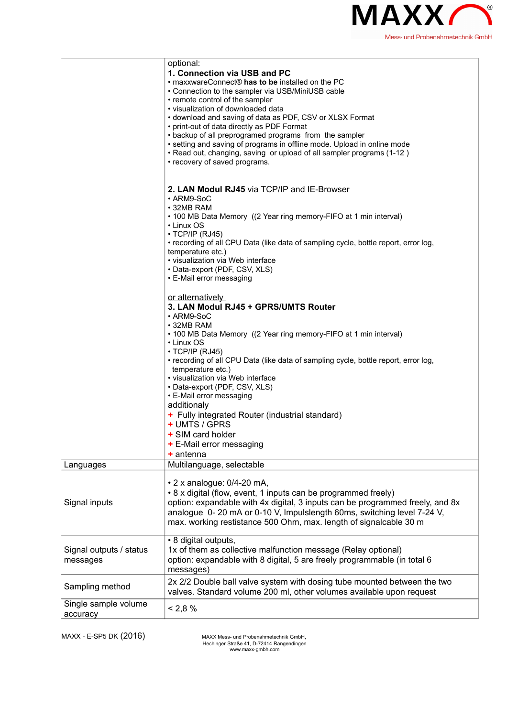

|                                     | optional:<br>1. Connection via USB and PC<br>• maxxwareConnect® has to be installed on the PC<br>• Connection to the sampler via USB/MiniUSB cable<br>• remote control of the sampler<br>• visualization of downloaded data<br>• download and saving of data as PDF, CSV or XLSX Format<br>• print-out of data directly as PDF Format<br>• backup of all preprogramed programs from the sampler<br>• setting and saving of programs in offline mode. Upload in online mode<br>. Read out, changing, saving or upload of all sampler programs (1-12)<br>• recovery of saved programs. |  |
|-------------------------------------|--------------------------------------------------------------------------------------------------------------------------------------------------------------------------------------------------------------------------------------------------------------------------------------------------------------------------------------------------------------------------------------------------------------------------------------------------------------------------------------------------------------------------------------------------------------------------------------|--|
|                                     | 2. LAN Modul RJ45 via TCP/IP and IE-Browser<br>• ARM9-SoC<br>$\cdot$ 32MB RAM<br>• 100 MB Data Memory ((2 Year ring memory-FIFO at 1 min interval)<br>• Linux OS<br>$\cdot$ TCP/IP (RJ45)<br>• recording of all CPU Data (like data of sampling cycle, bottle report, error log,<br>temperature etc.)<br>• visualization via Web interface<br>• Data-export (PDF, CSV, XLS)<br>• E-Mail error messaging                                                                                                                                                                              |  |
|                                     | or alternatively<br>3. LAN Modul RJ45 + GPRS/UMTS Router<br>• ARM9-SoC<br>• 32MB RAM<br>• 100 MB Data Memory ((2 Year ring memory-FIFO at 1 min interval)<br>• Linux OS<br>$\cdot$ TCP/IP (RJ45)<br>• recording of all CPU Data (like data of sampling cycle, bottle report, error log,<br>temperature etc.)<br>· visualization via Web interface<br>• Data-export (PDF, CSV, XLS)<br>• E-Mail error messaging<br>additionaly<br>+ Fully integrated Router (industrial standard)<br>+ UMTS / GPRS<br>+ SIM card holder<br>+ E-Mail error messaging<br>$+$ antenna                    |  |
| Languages                           | Multilanguage, selectable                                                                                                                                                                                                                                                                                                                                                                                                                                                                                                                                                            |  |
| Signal inputs                       | $\cdot$ 2 x analogue: 0/4-20 mA,<br>• 8 x digital (flow, event, 1 inputs can be programmed freely)<br>option: expandable with 4x digital, 3 inputs can be programmed freely, and 8x<br>analogue 0-20 mA or 0-10 V, Impulslength 60ms, switching level 7-24 V,<br>max. working restistance 500 Ohm, max. length of signalcable 30 m                                                                                                                                                                                                                                                   |  |
| Signal outputs / status<br>messages | • 8 digital outputs,<br>1x of them as collective malfunction message (Relay optional)<br>option: expandable with 8 digital, 5 are freely programmable (in total 6<br>messages)                                                                                                                                                                                                                                                                                                                                                                                                       |  |
| Sampling method                     | 2x 2/2 Double ball valve system with dosing tube mounted between the two<br>valves. Standard volume 200 ml, other volumes available upon request                                                                                                                                                                                                                                                                                                                                                                                                                                     |  |
| Single sample volume<br>accuracy    | $< 2.8 \%$                                                                                                                                                                                                                                                                                                                                                                                                                                                                                                                                                                           |  |

MAXX - E-SP5 DK (2016) MAXX Mess- und Probenahmetechnik GmbH,

Hechinger Straße 41, D-72414 Rangendingen www.maxx-gmbh.com